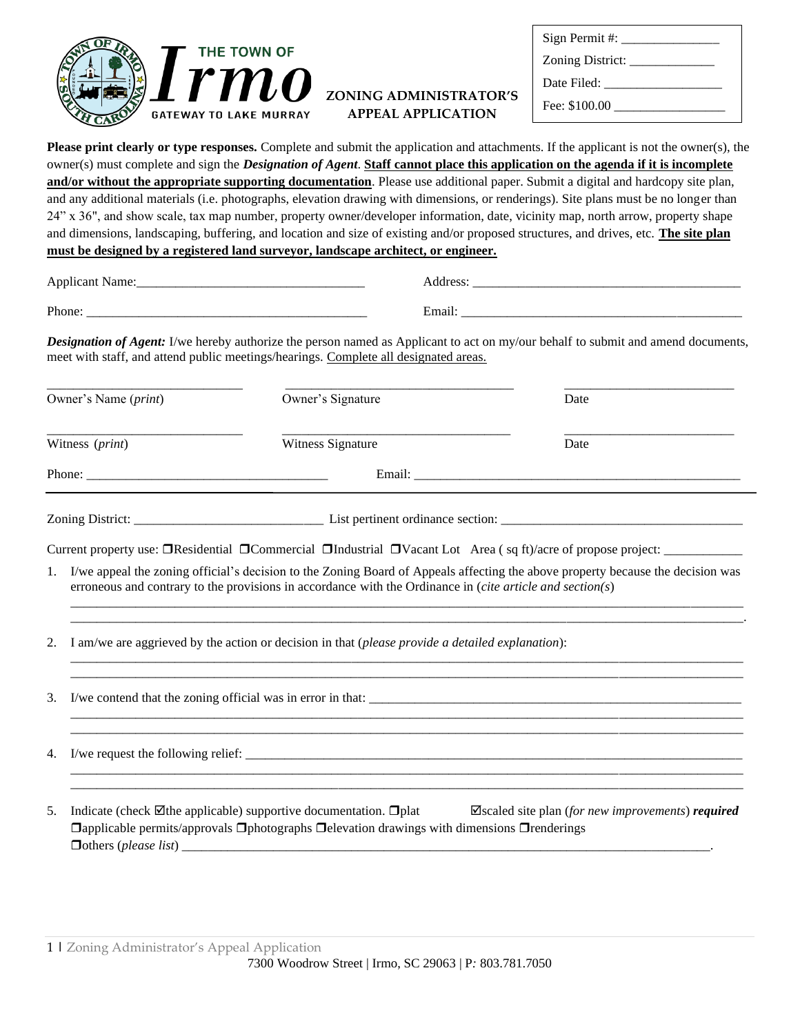

## **ZONING ADMINISTRATOR'S APPEAL APPLICATION**

| $Sign$ Permit #:  |  |
|-------------------|--|
|                   |  |
| Date Filed: _____ |  |
| Fee: $$100.00$    |  |

**Please print clearly or type responses.** Complete and submit the application and attachments. If the applicant is not the owner(s), the owner(s) must complete and sign the *Designation of Agent*. **Staff cannot place this application on the agenda if it is incomplete and/or without the appropriate supporting documentation**. Please use additional paper. Submit a digital and hardcopy site plan, and any additional materials (i.e. photographs, elevation drawing with dimensions, or renderings). Site plans must be no longer than 24" x 36", and show scale, tax map number, property owner/developer information, date, vicinity map, north arrow, property shape and dimensions, landscaping, buffering, and location and size of existing and/or proposed structures, and drives, etc. **The site plan must be designed by a registered land surveyor, landscape architect, or engineer.**

| Annlicant<br>$\sim$ | ddress           |
|---------------------|------------------|
| Phone.              | $\cdot$<br>Email |

*Designation of Agent:* I/we hereby authorize the person named as Applicant to act on my/our behalf to submit and amend documents, meet with staff, and attend public meetings/hearings. Complete all designated areas.

| Owner's Name ( <i>print</i> )<br>Witness (print) |                                                                                                                                                                                                                                              | Owner's Signature                                                                                                                                                                                       | Date                                                                   |  |  |  |
|--------------------------------------------------|----------------------------------------------------------------------------------------------------------------------------------------------------------------------------------------------------------------------------------------------|---------------------------------------------------------------------------------------------------------------------------------------------------------------------------------------------------------|------------------------------------------------------------------------|--|--|--|
|                                                  |                                                                                                                                                                                                                                              | Witness Signature                                                                                                                                                                                       | Date                                                                   |  |  |  |
|                                                  |                                                                                                                                                                                                                                              |                                                                                                                                                                                                         |                                                                        |  |  |  |
|                                                  |                                                                                                                                                                                                                                              |                                                                                                                                                                                                         |                                                                        |  |  |  |
|                                                  |                                                                                                                                                                                                                                              |                                                                                                                                                                                                         |                                                                        |  |  |  |
| 1.                                               | I/we appeal the zoning official's decision to the Zoning Board of Appeals affecting the above property because the decision was<br>erroneous and contrary to the provisions in accordance with the Ordinance in (cite article and section(s) |                                                                                                                                                                                                         |                                                                        |  |  |  |
| 2.                                               |                                                                                                                                                                                                                                              | I am/we are aggrieved by the action or decision in that (please provide a detailed explanation):                                                                                                        |                                                                        |  |  |  |
| 3.                                               | I/we contend that the zoning official was in error in that:                                                                                                                                                                                  |                                                                                                                                                                                                         |                                                                        |  |  |  |
| 4.                                               |                                                                                                                                                                                                                                              |                                                                                                                                                                                                         |                                                                        |  |  |  |
| 5.                                               |                                                                                                                                                                                                                                              | Indicate (check $\boxtimes$ the applicable) supportive documentation. $\Box$ plat<br>$\Box$ applicable permits/approvals $\Box$ photographs $\Box$ elevation drawings with dimensions $\Box$ renderings | $\blacktriangleright$ Scaled site plan (for new improvements) required |  |  |  |